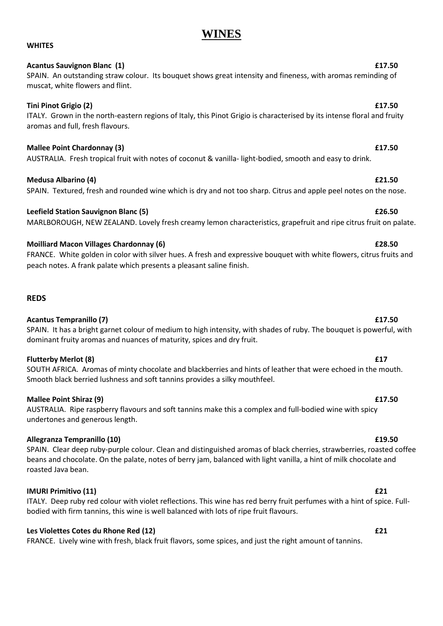# **WINES**

### **WHITES**

### **Acantus Sauvignon Blanc (1) £17.50**

### SPAIN. An outstanding straw colour. Its bouquet shows great intensity and fineness, with aromas reminding of muscat, white flowers and flint.

### **Tini Pinot Grigio (2) £17.50**

### ITALY. Grown in the north-eastern regions of Italy, this Pinot Grigio is characterised by its intense floral and fruity aromas and full, fresh flavours.

### **Mallee Point Chardonnay (3) £17.50**

AUSTRALIA. Fresh tropical fruit with notes of coconut & vanilla- light-bodied, smooth and easy to drink.

### **Medusa Albarino (4) £21.50**

## **Leefield Station Sauvignon Blanc (5) £26.50**

MARLBOROUGH, NEW ZEALAND. Lovely fresh creamy lemon characteristics, grapefruit and ripe citrus fruit on palate.

### **Moilliard Macon Villages Chardonnay (6) £28.50**

FRANCE. White golden in color with silver hues. A fresh and expressive bouquet with white flowers, citrus fruits and peach notes. A frank palate which presents a pleasant saline finish.

### **REDS**

### **Acantus Tempranillo (7) £17.50**

### SPAIN. It has a bright garnet colour of medium to high intensity, with shades of ruby. The bouquet is powerful, with dominant fruity aromas and nuances of maturity, spices and dry fruit.

### **Flutterby Merlot (8) £17**

SOUTH AFRICA. Aromas of minty chocolate and blackberries and hints of leather that were echoed in the mouth. Smooth black berried lushness and soft tannins provides a silky mouthfeel.

### **Mallee Point Shiraz (9) £17.50**

### AUSTRALIA. Ripe raspberry flavours and soft tannins make this a complex and full-bodied wine with spicy undertones and generous length.

### **Allegranza Tempranillo (10) £19.50**

SPAIN. Clear deep ruby-purple colour. Clean and distinguished aromas of black cherries, strawberries, roasted coffee beans and chocolate. On the palate, notes of berry jam, balanced with light vanilla, a hint of milk chocolate and roasted Java bean.

### **IMURI Primitivo (11) £21**

ITALY. Deep ruby red colour with violet reflections. This wine has red berry fruit perfumes with a hint of spice. Fullbodied with firm tannins, this wine is well balanced with lots of ripe fruit flavours.

### **Les Violettes Cotes du Rhone Red (12) £21**

FRANCE. Lively wine with fresh, black fruit flavors, some spices, and just the right amount of tannins.

# SPAIN. Textured, fresh and rounded wine which is dry and not too sharp. Citrus and apple peel notes on the nose.